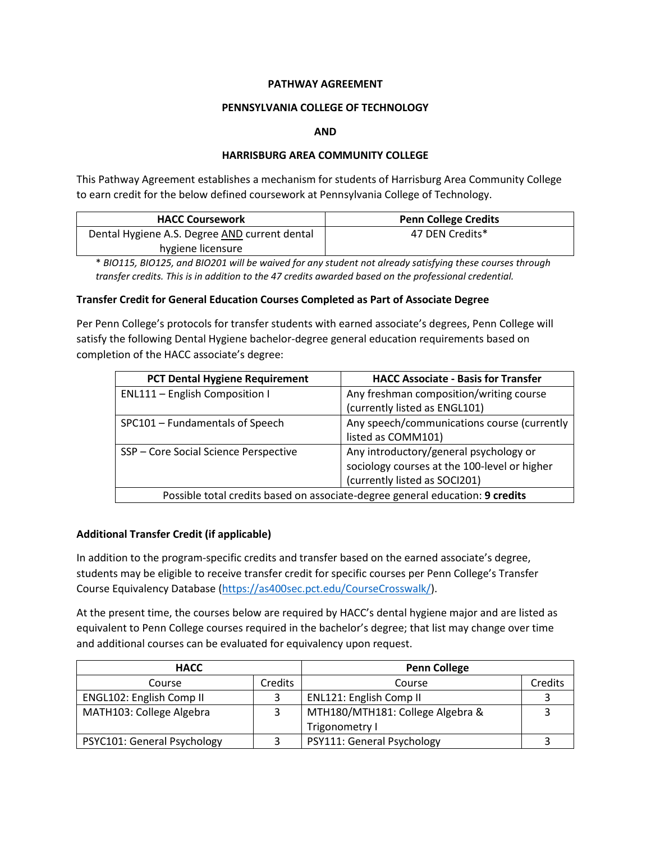### **PATHWAY AGREEMENT**

#### **PENNSYLVANIA COLLEGE OF TECHNOLOGY**

#### **AND**

### **HARRISBURG AREA COMMUNITY COLLEGE**

This Pathway Agreement establishes a mechanism for students of Harrisburg Area Community College to earn credit for the below defined coursework at Pennsylvania College of Technology.

| <b>HACC Coursework</b>                        | <b>Penn College Credits</b> |
|-----------------------------------------------|-----------------------------|
| Dental Hygiene A.S. Degree AND current dental | 47 DEN Credits*             |
| hygiene licensure                             |                             |

\* *BIO115, BIO125, and BIO201 will be waived for any student not already satisfying these courses through transfer credits. This is in addition to the 47 credits awarded based on the professional credential.*

#### **Transfer Credit for General Education Courses Completed as Part of Associate Degree**

Per Penn College's protocols for transfer students with earned associate's degrees, Penn College will satisfy the following Dental Hygiene bachelor-degree general education requirements based on completion of the HACC associate's degree:

| <b>PCT Dental Hygiene Requirement</b>                                         | <b>HACC Associate - Basis for Transfer</b>   |  |
|-------------------------------------------------------------------------------|----------------------------------------------|--|
| ENL111 - English Composition I                                                | Any freshman composition/writing course      |  |
|                                                                               | (currently listed as ENGL101)                |  |
| SPC101 - Fundamentals of Speech                                               | Any speech/communications course (currently  |  |
|                                                                               | listed as COMM101)                           |  |
| SSP - Core Social Science Perspective                                         | Any introductory/general psychology or       |  |
|                                                                               | sociology courses at the 100-level or higher |  |
|                                                                               | (currently listed as SOCI201)                |  |
| Possible total credits based on associate-degree general education: 9 credits |                                              |  |

## **Additional Transfer Credit (if applicable)**

In addition to the program-specific credits and transfer based on the earned associate's degree, students may be eligible to receive transfer credit for specific courses per Penn College's Transfer Course Equivalency Database [\(https://as400sec.pct.edu/CourseCrosswalk/\)](https://as400sec.pct.edu/CourseCrosswalk/).

At the present time, the courses below are required by HACC's dental hygiene major and are listed as equivalent to Penn College courses required in the bachelor's degree; that list may change over time and additional courses can be evaluated for equivalency upon request.

| <b>HACC</b>                 |         | <b>Penn College</b>              |         |
|-----------------------------|---------|----------------------------------|---------|
| Course                      | Credits | Course                           | Credits |
| ENGL102: English Comp II    |         | ENL121: English Comp II          |         |
| MATH103: College Algebra    |         | MTH180/MTH181: College Algebra & |         |
|                             |         | Trigonometry I                   |         |
| PSYC101: General Psychology |         | PSY111: General Psychology       |         |